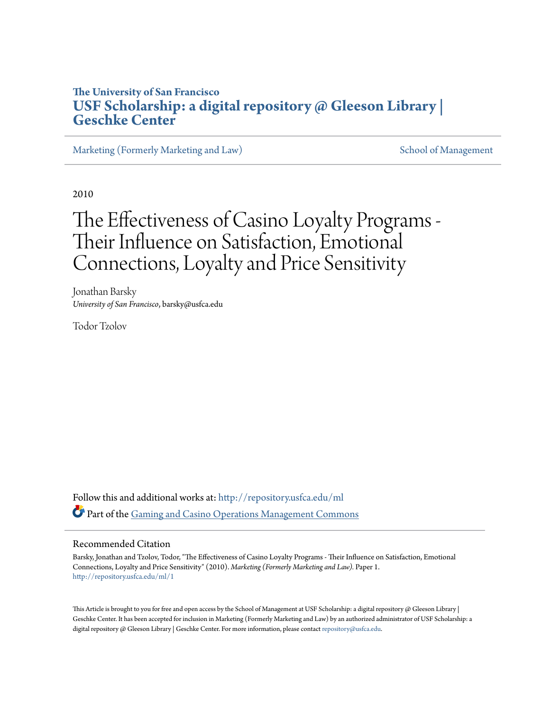# **The University of San Francisco [USF Scholarship: a digital repository @ Gleeson Library |](http://repository.usfca.edu?utm_source=repository.usfca.edu%2Fml%2F1&utm_medium=PDF&utm_campaign=PDFCoverPages) [Geschke Center](http://repository.usfca.edu?utm_source=repository.usfca.edu%2Fml%2F1&utm_medium=PDF&utm_campaign=PDFCoverPages)**

[Marketing \(Formerly Marketing and Law\)](http://repository.usfca.edu/ml?utm_source=repository.usfca.edu%2Fml%2F1&utm_medium=PDF&utm_campaign=PDFCoverPages) [School of Management](http://repository.usfca.edu/management?utm_source=repository.usfca.edu%2Fml%2F1&utm_medium=PDF&utm_campaign=PDFCoverPages)

2010

# The Effectiveness of Casino Loyalty Programs - Their Influence on Satisfaction, Emotional Connections, Loyalty and Price Sensitivity

Jonathan Barsky *University of San Francisco*, barsky@usfca.edu

Todor Tzolov

Follow this and additional works at: [http://repository.usfca.edu/ml](http://repository.usfca.edu/ml?utm_source=repository.usfca.edu%2Fml%2F1&utm_medium=PDF&utm_campaign=PDFCoverPages) Part of the [Gaming and Casino Operations Management Commons](http://network.bepress.com/hgg/discipline/1088?utm_source=repository.usfca.edu%2Fml%2F1&utm_medium=PDF&utm_campaign=PDFCoverPages)

#### Recommended Citation

Barsky, Jonathan and Tzolov, Todor, "The Effectiveness of Casino Loyalty Programs - Their Influence on Satisfaction, Emotional Connections, Loyalty and Price Sensitivity" (2010). *Marketing (Formerly Marketing and Law).* Paper 1. [http://repository.usfca.edu/ml/1](http://repository.usfca.edu/ml/1?utm_source=repository.usfca.edu%2Fml%2F1&utm_medium=PDF&utm_campaign=PDFCoverPages)

This Article is brought to you for free and open access by the School of Management at USF Scholarship: a digital repository  $\omega$  Gleeson Library | Geschke Center. It has been accepted for inclusion in Marketing (Formerly Marketing and Law) by an authorized administrator of USF Scholarship: a digital repository @ Gleeson Library | Geschke Center. For more information, please contact [repository@usfca.edu](mailto:repository@usfca.edu).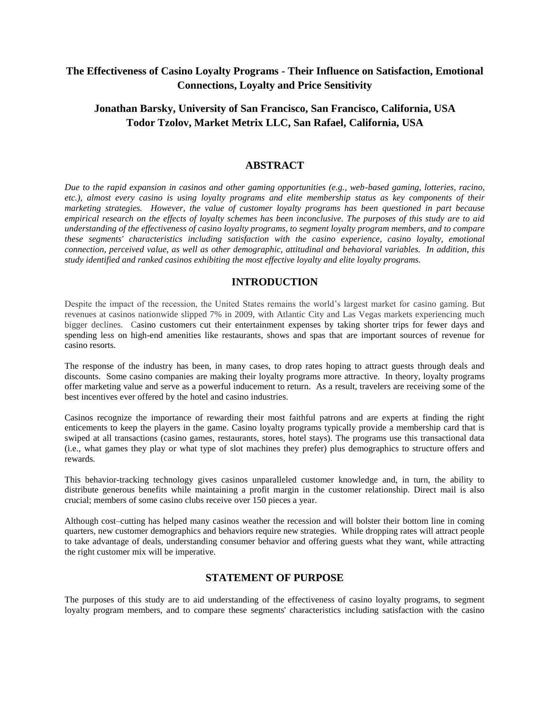# **The Effectiveness of Casino Loyalty Programs - Their Influence on Satisfaction, Emotional Connections, Loyalty and Price Sensitivity**

# **Jonathan Barsky, University of San Francisco, San Francisco, California, USA Todor Tzolov, Market Metrix LLC, San Rafael, California, USA**

## **ABSTRACT**

*Due to the rapid expansion in casinos and other gaming opportunities (e.g., web-based gaming, lotteries, racino, etc.), almost every casino is using loyalty programs and elite membership status as key components of their marketing strategies. However, the value of customer loyalty programs has been questioned in part because empirical research on the effects of loyalty schemes has been inconclusive. The purposes of this study are to aid understanding of the effectiveness of casino loyalty programs, to segment loyalty program members, and to compare these segments' characteristics including satisfaction with the casino experience, casino loyalty, emotional connection, perceived value, as well as other demographic, attitudinal and behavioral variables. In addition, this study identified and ranked casinos exhibiting the most effective loyalty and elite loyalty programs.* 

# **INTRODUCTION**

Despite the impact of the recession, the United States remains the world's largest market for casino gaming. But revenues at casinos nationwide slipped 7% in 2009, with Atlantic City and Las Vegas markets experiencing much bigger declines. Casino customers cut their entertainment expenses by taking shorter trips for fewer days and spending less on high-end amenities like restaurants, shows and spas that are important sources of revenue for casino resorts.

The response of the industry has been, in many cases, to drop rates hoping to attract guests through deals and discounts. Some casino companies are making their loyalty programs more attractive. In theory, loyalty programs offer marketing value and serve as a powerful inducement to return. As a result, travelers are receiving some of the best incentives ever offered by the hotel and casino industries.

Casinos recognize the importance of rewarding their most faithful patrons and are experts at finding the right enticements to keep the players in the game. Casino loyalty programs typically provide a membership card that is swiped at all transactions (casino games, restaurants, stores, hotel stays). The programs use this transactional data (i.e., what games they play or what type of slot machines they prefer) plus demographics to structure offers and rewards.

This behavior-tracking technology gives casinos unparalleled customer knowledge and, in turn, the ability to distribute generous benefits while maintaining a profit margin in the customer relationship. Direct mail is also crucial; members of some casino clubs receive over 150 pieces a year.

Although cost–cutting has helped many casinos weather the recession and will bolster their bottom line in coming quarters, new customer demographics and behaviors require new strategies. While dropping rates will attract people to take advantage of deals, understanding consumer behavior and offering guests what they want, while attracting the right customer mix will be imperative.

## **STATEMENT OF PURPOSE**

The purposes of this study are to aid understanding of the effectiveness of casino loyalty programs, to segment loyalty program members, and to compare these segments' characteristics including satisfaction with the casino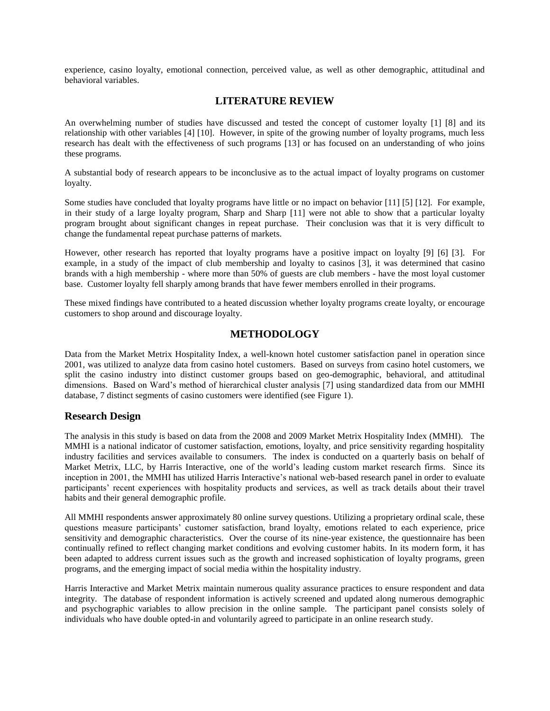experience, casino loyalty, emotional connection, perceived value, as well as other demographic, attitudinal and behavioral variables.

# **LITERATURE REVIEW**

An overwhelming number of studies have discussed and tested the concept of customer loyalty [1] [8] and its relationship with other variables [4] [10]. However, in spite of the growing number of loyalty programs, much less research has dealt with the effectiveness of such programs [13] or has focused on an understanding of who joins these programs.

A substantial body of research appears to be inconclusive as to the actual impact of loyalty programs on customer loyalty.

Some studies have concluded that loyalty programs have little or no impact on behavior [11] [5] [12]. For example, in their study of a large loyalty program, Sharp and Sharp [11] were not able to show that a particular loyalty program brought about significant changes in repeat purchase. Their conclusion was that it is very difficult to change the fundamental repeat purchase patterns of markets.

However, other research has reported that loyalty programs have a positive impact on loyalty [9] [6] [3]. For example, in a study of the impact of club membership and loyalty to casinos [3], it was determined that casino brands with a high membership - where more than 50% of guests are club members - have the most loyal customer base. Customer loyalty fell sharply among brands that have fewer members enrolled in their programs.

These mixed findings have contributed to a heated discussion whether loyalty programs create loyalty, or encourage customers to shop around and discourage loyalty.

## **METHODOLOGY**

Data from the Market Metrix Hospitality Index, a well-known hotel customer satisfaction panel in operation since 2001, was utilized to analyze data from casino hotel customers. Based on surveys from casino hotel customers, we split the casino industry into distinct customer groups based on geo-demographic, behavioral, and attitudinal dimensions. Based on Ward's method of hierarchical cluster analysis [7] using standardized data from our MMHI database, 7 distinct segments of casino customers were identified (see Figure 1).

#### **Research Design**

The analysis in this study is based on data from the 2008 and 2009 Market Metrix Hospitality Index (MMHI). The MMHI is a national indicator of customer satisfaction, emotions, loyalty, and price sensitivity regarding hospitality industry facilities and services available to consumers. The index is conducted on a quarterly basis on behalf of Market Metrix, LLC, by Harris Interactive, one of the world's leading custom market research firms. Since its inception in 2001, the MMHI has utilized Harris Interactive's national web-based research panel in order to evaluate participants' recent experiences with hospitality products and services, as well as track details about their travel habits and their general demographic profile.

All MMHI respondents answer approximately 80 online survey questions. Utilizing a proprietary ordinal scale, these questions measure participants' customer satisfaction, brand loyalty, emotions related to each experience, price sensitivity and demographic characteristics. Over the course of its nine-year existence, the questionnaire has been continually refined to reflect changing market conditions and evolving customer habits. In its modern form, it has been adapted to address current issues such as the growth and increased sophistication of loyalty programs, green programs, and the emerging impact of social media within the hospitality industry.

Harris Interactive and Market Metrix maintain numerous quality assurance practices to ensure respondent and data integrity. The database of respondent information is actively screened and updated along numerous demographic and psychographic variables to allow precision in the online sample. The participant panel consists solely of individuals who have double opted-in and voluntarily agreed to participate in an online research study.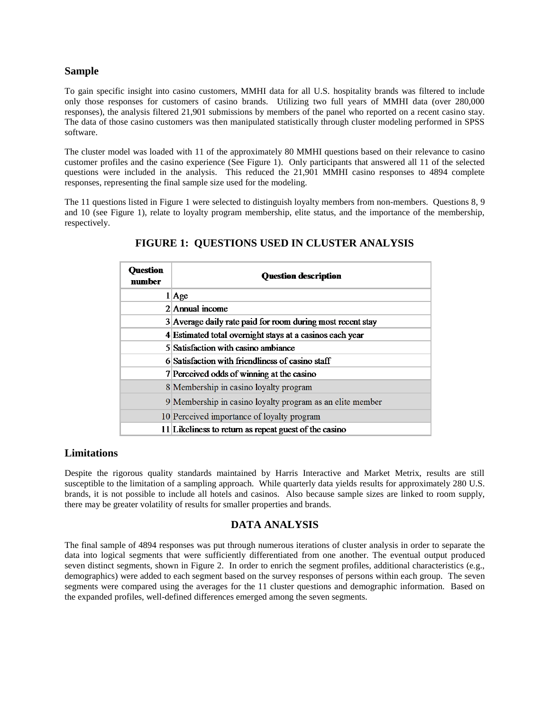#### **Sample**

To gain specific insight into casino customers, MMHI data for all U.S. hospitality brands was filtered to include only those responses for customers of casino brands. Utilizing two full years of MMHI data (over 280,000 responses), the analysis filtered 21,901 submissions by members of the panel who reported on a recent casino stay. The data of those casino customers was then manipulated statistically through cluster modeling performed in SPSS software.

The cluster model was loaded with 11 of the approximately 80 MMHI questions based on their relevance to casino customer profiles and the casino experience (See Figure 1). Only participants that answered all 11 of the selected questions were included in the analysis. This reduced the 21,901 MMHI casino responses to 4894 complete responses, representing the final sample size used for the modeling.

The 11 questions listed in Figure 1 were selected to distinguish loyalty members from non-members. Questions 8, 9 and 10 (see Figure 1), relate to loyalty program membership, elite status, and the importance of the membership, respectively.

| ruestion<br>number | <b>Question description</b>                                |
|--------------------|------------------------------------------------------------|
|                    | $1$ Age                                                    |
|                    | $2$  Annual income                                         |
|                    | 3 Average daily rate paid for room during most recent stay |
|                    | 4 Estimated total overnight stays at a casinos each year   |
|                    | 5 Satisfaction with casino ambiance                        |
|                    | 6 Satisfaction with friendliness of casino staff           |
|                    | 7 Perceived odds of winning at the casino                  |
|                    | 8 Membership in casino loyalty program                     |
|                    | 9 Membership in casino loyalty program as an elite member  |
|                    | 10 Perceived importance of loyalty program                 |
|                    | 11 Likeliness to return as repeat guest of the casino      |

# **FIGURE 1: QUESTIONS USED IN CLUSTER ANALYSIS**

## **Limitations**

Despite the rigorous quality standards maintained by Harris Interactive and Market Metrix, results are still susceptible to the limitation of a sampling approach. While quarterly data yields results for approximately 280 U.S. brands, it is not possible to include all hotels and casinos. Also because sample sizes are linked to room supply, there may be greater volatility of results for smaller properties and brands.

## **DATA ANALYSIS**

The final sample of 4894 responses was put through numerous iterations of cluster analysis in order to separate the data into logical segments that were sufficiently differentiated from one another. The eventual output produced seven distinct segments, shown in Figure 2. In order to enrich the segment profiles, additional characteristics (e.g., demographics) were added to each segment based on the survey responses of persons within each group. The seven segments were compared using the averages for the 11 cluster questions and demographic information. Based on the expanded profiles, well-defined differences emerged among the seven segments.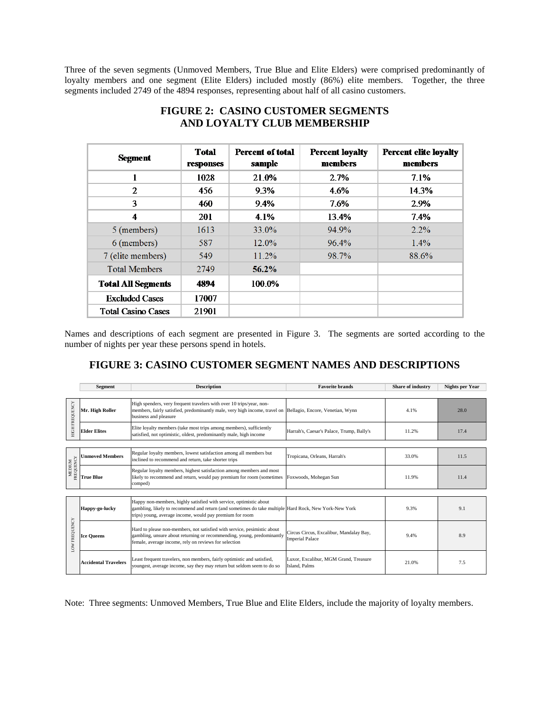Three of the seven segments (Unmoved Members, True Blue and Elite Elders) were comprised predominantly of loyalty members and one segment (Elite Elders) included mostly (86%) elite members. Together, the three segments included 2749 of the 4894 responses, representing about half of all casino customers.

| Segment                   | <b>Total</b><br>responses | <b>Percent of total</b><br>sample | <b>Percent loyalty</b><br>members | <b>Percent elite loyalty</b><br>members |
|---------------------------|---------------------------|-----------------------------------|-----------------------------------|-----------------------------------------|
|                           | 1028                      | 21.0%                             | 2.7%                              | 7.1%                                    |
| 2                         | 456                       | 9.3%                              | 4.6%                              | 14.3%                                   |
| 3                         | 460                       | 9.4%                              | 7.6%                              | 2.9%                                    |
| 4                         | <b>201</b>                | 4.1%                              | 13.4%                             | 7.4%                                    |
| 5 (members)               | 1613                      | $33.0\%$                          | 94.9%                             | 2.2%                                    |
| 6 (members)               | 587                       | $12.0\%$                          | 96.4%                             | $1.4\%$                                 |
| 7 (elite members)         | 549                       | 11.2%                             | 98.7%                             | 88.6%                                   |
| <b>Total Members</b>      | 2749                      | $56.2\%$                          |                                   |                                         |
| <b>Total All Segments</b> | 4894                      | 100.0%                            |                                   |                                         |
| <b>Fxcluded Cases</b>     | 17007                     |                                   |                                   |                                         |
| <b>Total Casino Cases</b> | 21901                     |                                   |                                   |                                         |

# **FIGURE 2: CASINO CUSTOMER SEGMENTS AND LOYALTY CLUB MEMBERSHIP**

Names and descriptions of each segment are presented in Figure 3. The segments are sorted according to the number of nights per year these persons spend in hotels.

# **FIGURE 3: CASINO CUSTOMER SEGMENT NAMES AND DESCRIPTIONS**

|                         | <b>Segment</b><br><b>Description</b> |                                                                                                                                                                                                                                         | <b>Favorite brands</b>                                            | <b>Share of industry</b> | Nights per Year |  |  |  |
|-------------------------|--------------------------------------|-----------------------------------------------------------------------------------------------------------------------------------------------------------------------------------------------------------------------------------------|-------------------------------------------------------------------|--------------------------|-----------------|--|--|--|
|                         |                                      |                                                                                                                                                                                                                                         |                                                                   |                          |                 |  |  |  |
| FREQUENCY<br><b>НОН</b> | Mr. High Roller                      | High spenders, very frequent travelers with over 10 trips/year, non-<br>members, fairly satisfied, predominantly male, very high income, travel on Bellagio, Encore, Venetian, Wynn<br>business and pleasure                            |                                                                   | 4.1%                     | 28.0            |  |  |  |
|                         | <b>Elder Elites</b>                  | Elite loyalty members (take most trips among members), sufficiently<br>satisfied, not optimistic, oldest, predominantly male, high income                                                                                               | Harrah's, Caesar's Palace, Trump, Bally's                         | 11.2%                    | 17.4            |  |  |  |
|                         |                                      |                                                                                                                                                                                                                                         |                                                                   |                          |                 |  |  |  |
|                         | <b>Unmoved Members</b>               | Regular loyalty members, lowest satisfaction among all members but<br>inclined to recommend and return, take shorter trips                                                                                                              | Tropicana, Orleans, Harrah's                                      | 33.0%                    | 11.5            |  |  |  |
| MEDIUM<br>FREQUENCY     | <b>True Blue</b>                     | Regular loyalty members, highest satisfaction among members and most<br>likely to recommend and return, would pay premium for room (sometimes<br>comped)                                                                                | Foxwoods, Mohegan Sun                                             | 11.9%                    | 11.4            |  |  |  |
|                         |                                      |                                                                                                                                                                                                                                         |                                                                   |                          |                 |  |  |  |
| LOW FREQUENCY           | Happy-go-lucky                       | Happy non-members, highly satisfied with service, optimistic about<br>gambling, likely to recommend and return (and sometimes do take multiple Hard Rock, New York-New York<br>trips) young, average income, would pay premium for room |                                                                   | 9.3%                     | 9.1             |  |  |  |
|                         | <b>Ice Queens</b>                    | Hard to please non-members, not satisfied with service, pesimistic about<br>gambling, unsure about returning or recommending, young, predominantly<br>female, average income, rely on reviews for selection                             | Circus Circus, Excalibur, Mandalay Bay,<br><b>Imperial Palace</b> | 9.4%                     | 8.9             |  |  |  |
|                         | <b>Accidental Travelers</b>          | Least frequent travelers, non members, fairly optimistic and satisfied,<br>youngest, average income, say they may return but seldom seem to do so                                                                                       | Luxor, Excalibur, MGM Grand, Treasure<br>Island, Palms            | 21.0%                    | 7.5             |  |  |  |

Note: Three segments: Unmoved Members, True Blue and Elite Elders, include the majority of loyalty members.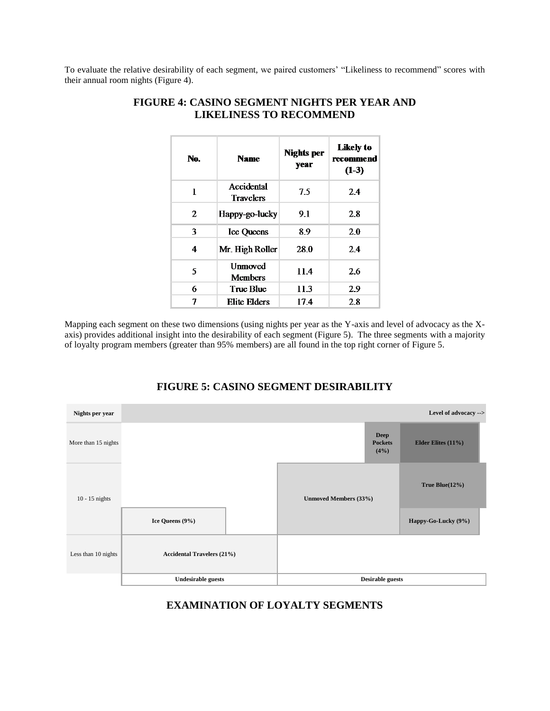To evaluate the relative desirability of each segment, we paired customers' "Likeliness to recommend" scores with their annual room nights (Figure 4).

| No. | <b>Name</b>                      | <b>Nights per</b><br>year | Likely to<br>recommend<br>$(1-3)$ |
|-----|----------------------------------|---------------------------|-----------------------------------|
| 1   | Accidental<br><b>Travelers</b>   | 75                        | 2.4                               |
| 2   | Happy-go-lucky                   | 9.1                       | 2.8                               |
| 3   | <b>Ice Queens</b>                | 89                        | 2.0                               |
| 4   | Mr. High Roller                  | 28.0                      | 2.4                               |
| 5   | <b>Unmoved</b><br><b>Members</b> | 11.4                      | 2.6                               |
| 6   | True Blue                        | 11.3                      | 29                                |
| 7   | Elite Elders                     | 17.4                      | 2.8                               |

# **FIGURE 4: CASINO SEGMENT NIGHTS PER YEAR AND LIKELINESS TO RECOMMEND**

Mapping each segment on these two dimensions (using nights per year as the Y-axis and level of advocacy as the Xaxis) provides additional insight into the desirability of each segment (Figure 5). The three segments with a majority of loyalty program members (greater than 95% members) are all found in the top right corner of Figure 5.



# **FIGURE 5: CASINO SEGMENT DESIRABILITY**

**EXAMINATION OF LOYALTY SEGMENTS**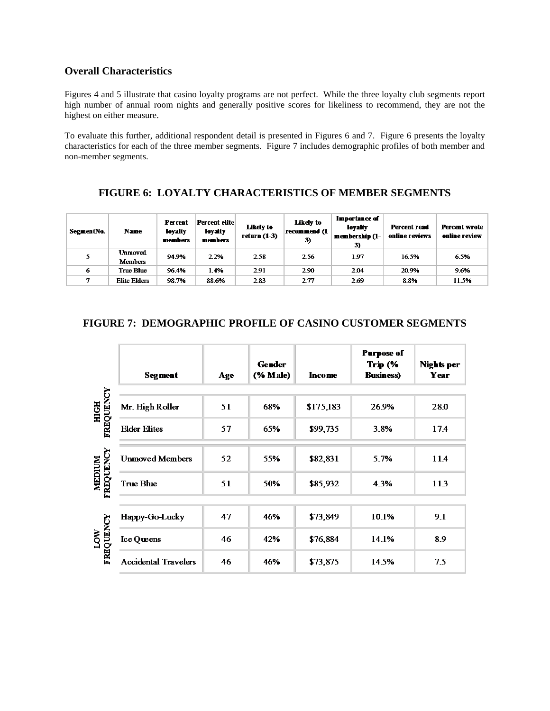# **Overall Characteristics**

Figures 4 and 5 illustrate that casino loyalty programs are not perfect. While the three loyalty club segments report high number of annual room nights and generally positive scores for likeliness to recommend, they are not the highest on either measure.

To evaluate this further, additional respondent detail is presented in Figures 6 and 7. Figure 6 presents the loyalty characteristics for each of the three member segments. Figure 7 includes demographic profiles of both member and non-member segments.

# **FIGURE 6: LOYALTY CHARACTERISTICS OF MEMBER SEGMENTS**

| SegmentNo.   | <b>Name</b>               | Percent<br>lovalty<br>members | <b>Percent elite</b><br>loyalty<br>members | Likely to<br>return $(1-3)$ | <b>Likely</b> to<br>recommend $(1-)$<br>3) | Importance of<br>loyalty<br>membership (1-<br>3) | <b>Percent read</b><br>online reviews | <b>Percent wrote</b><br>online review |
|--------------|---------------------------|-------------------------------|--------------------------------------------|-----------------------------|--------------------------------------------|--------------------------------------------------|---------------------------------------|---------------------------------------|
| 5            | Unmoved<br><b>Members</b> | 94.9%                         | 2.2%                                       | 2.58                        | 2.56                                       | 1.97                                             | 16.5%                                 | 6.5%                                  |
| 6            | True Bhie                 | 96.4%                         | 1.4%                                       | 2.91                        | 2.90                                       | 2.04                                             | 20.9%                                 | 9.6%                                  |
| $\mathbf{r}$ | <b>Elite Elders</b>       | 98.7%                         | 88.6%                                      | 2.83                        | 2.77                                       | 2.69                                             | 8.8%                                  | 11.5%                                 |

# **FIGURE 7: DEMOGRAPHIC PROFILE OF CASINO CUSTOMER SEGMENTS**

|                             | <b>Segment</b>              | Age | <b>Gender</b><br>(% Male) | In come   | <b>Purpose of</b><br><b>Тгір (%</b><br><b>Business</b> ) | Nights per<br>Year |
|-----------------------------|-----------------------------|-----|---------------------------|-----------|----------------------------------------------------------|--------------------|
| <b>HIGH<br/>FREQUENCY</b>   | Mr. High Roller             | 51  | 68%                       | \$175,183 | 26.9%                                                    | 28.0               |
|                             | <b>Elder Elites</b>         | 57  | 65%                       | \$99,735  | 3.8%                                                     | 17.4               |
| <b>MEDIUM<br/>FREQUENCY</b> | <b>Unmoved Members</b>      | 52  | 55%                       | \$82,831  | 5.7%                                                     | 11.4               |
|                             | <b>True Blue</b>            | 51  | 50%                       | \$85,932  | 4.3%                                                     | 113                |
|                             | Happy-Go-Lucky              | 47  | 46%                       | \$73,849  | 10.1%                                                    | 9.1                |
| <b>LOW<br/>FREQUENCY</b>    | Ice Queens                  | 46  | 42%                       | \$76,884  | 14.1%                                                    | 8.9                |
|                             | <b>Accidental Travelers</b> | 46  | 46%                       | \$73,875  | 14.5%                                                    | 7.5                |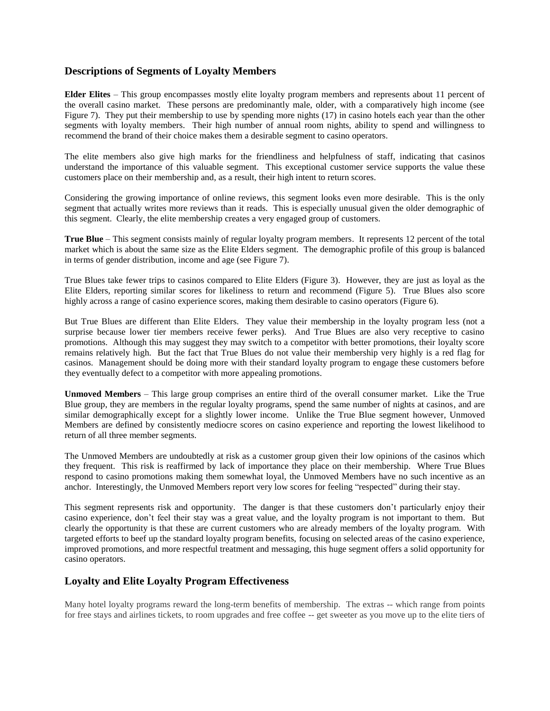# **Descriptions of Segments of Loyalty Members**

**Elder Elites** – This group encompasses mostly elite loyalty program members and represents about 11 percent of the overall casino market. These persons are predominantly male, older, with a comparatively high income (see Figure 7). They put their membership to use by spending more nights (17) in casino hotels each year than the other segments with loyalty members. Their high number of annual room nights, ability to spend and willingness to recommend the brand of their choice makes them a desirable segment to casino operators.

The elite members also give high marks for the friendliness and helpfulness of staff, indicating that casinos understand the importance of this valuable segment. This exceptional customer service supports the value these customers place on their membership and, as a result, their high intent to return scores.

Considering the growing importance of online reviews, this segment looks even more desirable. This is the only segment that actually writes more reviews than it reads. This is especially unusual given the older demographic of this segment. Clearly, the elite membership creates a very engaged group of customers.

**True Blue** – This segment consists mainly of regular loyalty program members. It represents 12 percent of the total market which is about the same size as the Elite Elders segment. The demographic profile of this group is balanced in terms of gender distribution, income and age (see Figure 7).

True Blues take fewer trips to casinos compared to Elite Elders (Figure 3). However, they are just as loyal as the Elite Elders, reporting similar scores for likeliness to return and recommend (Figure 5). True Blues also score highly across a range of casino experience scores, making them desirable to casino operators (Figure 6).

But True Blues are different than Elite Elders. They value their membership in the loyalty program less (not a surprise because lower tier members receive fewer perks). And True Blues are also very receptive to casino promotions. Although this may suggest they may switch to a competitor with better promotions, their loyalty score remains relatively high. But the fact that True Blues do not value their membership very highly is a red flag for casinos. Management should be doing more with their standard loyalty program to engage these customers before they eventually defect to a competitor with more appealing promotions.

**Unmoved Members** – This large group comprises an entire third of the overall consumer market. Like the True Blue group, they are members in the regular loyalty programs, spend the same number of nights at casinos, and are similar demographically except for a slightly lower income. Unlike the True Blue segment however, Unmoved Members are defined by consistently mediocre scores on casino experience and reporting the lowest likelihood to return of all three member segments.

The Unmoved Members are undoubtedly at risk as a customer group given their low opinions of the casinos which they frequent. This risk is reaffirmed by lack of importance they place on their membership. Where True Blues respond to casino promotions making them somewhat loyal, the Unmoved Members have no such incentive as an anchor. Interestingly, the Unmoved Members report very low scores for feeling "respected" during their stay.

This segment represents risk and opportunity. The danger is that these customers don't particularly enjoy their casino experience, don't feel their stay was a great value, and the loyalty program is not important to them. But clearly the opportunity is that these are current customers who are already members of the loyalty program. With targeted efforts to beef up the standard loyalty program benefits, focusing on selected areas of the casino experience, improved promotions, and more respectful treatment and messaging, this huge segment offers a solid opportunity for casino operators.

# **Loyalty and Elite Loyalty Program Effectiveness**

Many hotel loyalty programs reward the long-term benefits of membership. The extras -- which range from points for free stays and airlines tickets, to room upgrades and free coffee -- get sweeter as you move up to the elite tiers of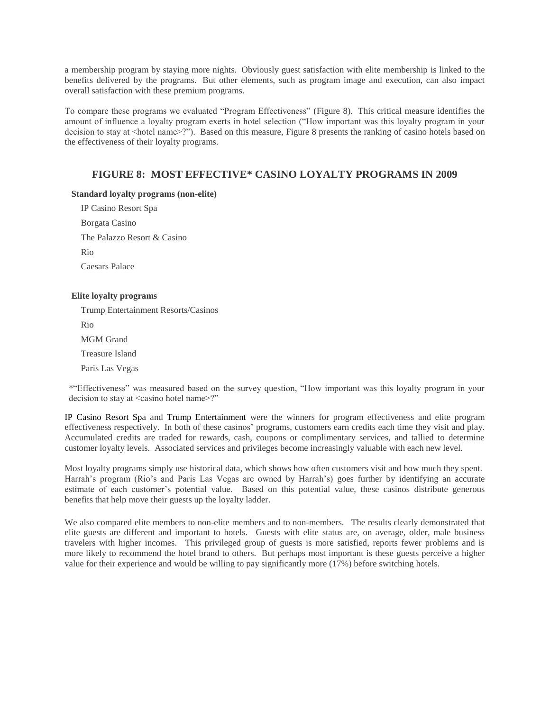a membership program by staying more nights. Obviously guest satisfaction with elite membership is linked to the benefits delivered by the programs. But other elements, such as program image and execution, can also impact overall satisfaction with these premium programs.

To compare these programs we evaluated "Program Effectiveness" (Figure 8). This critical measure identifies the amount of influence a loyalty program exerts in hotel selection ("How important was this loyalty program in your decision to stay at <hotel name>?"). Based on this measure, Figure 8 presents the ranking of casino hotels based on the effectiveness of their loyalty programs.

# **FIGURE 8: MOST EFFECTIVE\* CASINO LOYALTY PROGRAMS IN 2009**

#### **Standard loyalty programs (non-elite)**

IP Casino Resort Spa Borgata Casino The Palazzo Resort & Casino Rio Caesars Palace

#### **Elite loyalty programs**

Trump Entertainment Resorts/Casinos

Rio

MGM Grand

Treasure Island

Paris Las Vegas

\*"Effectiveness" was measured based on the survey question, "How important was this loyalty program in your decision to stay at <casino hotel name>?"

IP Casino Resort Spa and Trump Entertainment were the winners for program effectiveness and elite program effectiveness respectively. In both of these casinos' programs, customers earn credits each time they visit and play. Accumulated credits are traded for rewards, cash, coupons or complimentary services, and tallied to determine customer loyalty levels. Associated services and privileges become increasingly valuable with each new level.

Most loyalty programs simply use historical data, which shows how often customers visit and how much they spent. Harrah's program (Rio's and Paris Las Vegas are owned by Harrah's) goes further by identifying an accurate estimate of each customer's potential value. Based on this potential value, these casinos distribute generous benefits that help move their guests up the loyalty ladder.

We also compared elite members to non-elite members and to non-members. The results clearly demonstrated that elite guests are different and important to hotels. Guests with elite status are, on average, older, male business travelers with higher incomes. This privileged group of guests is more satisfied, reports fewer problems and is more likely to recommend the hotel brand to others. But perhaps most important is these guests perceive a higher value for their experience and would be willing to pay significantly more (17%) before switching hotels.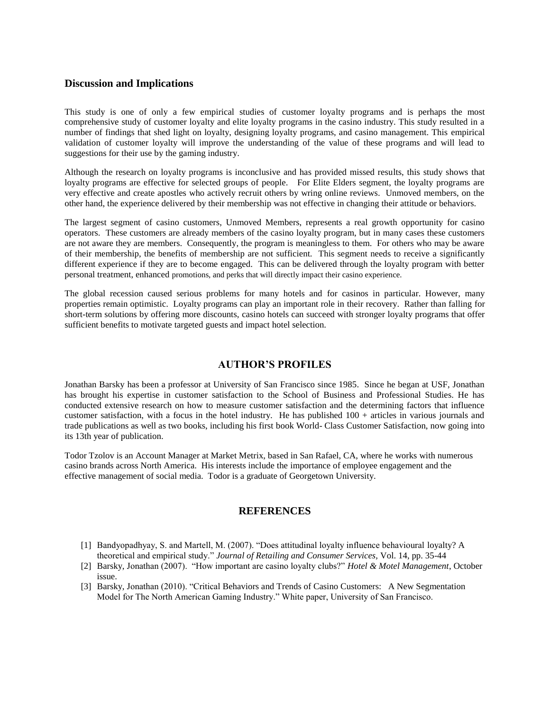#### **Discussion and Implications**

This study is one of only a few empirical studies of customer loyalty programs and is perhaps the most comprehensive study of customer loyalty and elite loyalty programs in the casino industry. This study resulted in a number of findings that shed light on loyalty, designing loyalty programs, and casino management. This empirical validation of customer loyalty will improve the understanding of the value of these programs and will lead to suggestions for their use by the gaming industry.

Although the research on loyalty programs is inconclusive and has provided missed results, this study shows that loyalty programs are effective for selected groups of people. For Elite Elders segment, the loyalty programs are very effective and create apostles who actively recruit others by wring online reviews. Unmoved members, on the other hand, the experience delivered by their membership was not effective in changing their attitude or behaviors.

The largest segment of casino customers, Unmoved Members, represents a real growth opportunity for casino operators. These customers are already members of the casino loyalty program, but in many cases these customers are not aware they are members. Consequently, the program is meaningless to them. For others who may be aware of their membership, the benefits of membership are not sufficient. This segment needs to receive a significantly different experience if they are to become engaged. This can be delivered through the loyalty program with better personal treatment, enhanced promotions, and perks that will directly impact their casino experience.

The global recession caused serious problems for many hotels and for casinos in particular. However, many properties remain optimistic. Loyalty programs can play an important role in their recovery. Rather than falling for short-term solutions by offering more discounts, casino hotels can succeed with stronger loyalty programs that offer sufficient benefits to motivate targeted guests and impact hotel selection.

## **AUTHOR'S PROFILES**

Jonathan Barsky has been a professor at University of San Francisco since 1985. Since he began at USF, Jonathan has brought his expertise in customer satisfaction to the School of Business and Professional Studies. He has conducted extensive research on how to measure customer satisfaction and the determining factors that influence customer satisfaction, with a focus in the hotel industry. He has published 100 + articles in various journals and trade publications as well as two books, including his first book World- Class Customer Satisfaction, now going into its 13th year of publication.

Todor Tzolov is an Account Manager at Market Metrix, based in San Rafael, CA, where he works with numerous casino brands across North America. His interests include the importance of employee engagement and the effective management of social media. Todor is a graduate of Georgetown University.

#### **REFERENCES**

- [1] Bandyopadhyay, S. and Martell, M. (2007). "Does attitudinal loyalty influence behavioural loyalty? A theoretical and empirical study." *Journal of Retailing and Consumer Services,* Vol. 14, pp. 35-44
- [2] Barsky, Jonathan (2007). "How important are casino loyalty clubs?" *Hotel & Motel Management*, October issue.
- [3] Barsky, Jonathan (2010). "Critical Behaviors and Trends of Casino Customers: A New Segmentation Model for The North American Gaming Industry." White paper, University of San Francisco.